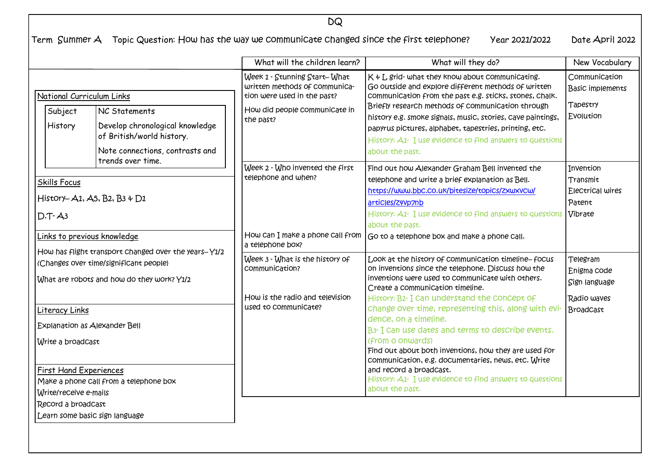Term Summer A Topic Question: How has the way we communicate changed since the first telephone? Year 2021/2022 Date April 2022

|                                                                                                                                              |                                                                                                                  | What will the children learn?                                                                                                              | What will they do?                                                                                                                                                                                                                                                                                                                                                                                                             | New Vocabulary                                                    |
|----------------------------------------------------------------------------------------------------------------------------------------------|------------------------------------------------------------------------------------------------------------------|--------------------------------------------------------------------------------------------------------------------------------------------|--------------------------------------------------------------------------------------------------------------------------------------------------------------------------------------------------------------------------------------------------------------------------------------------------------------------------------------------------------------------------------------------------------------------------------|-------------------------------------------------------------------|
| National Curriculum Links<br>Subject<br>History                                                                                              | NC Statements<br>Develop chronological knowledge<br>of British/world history.<br>Note connections, contrasts and | Week 1 - Stunning Start-What<br>written methods of communica-<br>tion were used in the past?<br>How did people communicate in<br>the past? | K & L grid- what they know about communicating.<br>Go outside and explore different methods of written<br>communication from the past e.g. sticks, stones, chalk.<br>Briefly research methods of communication through<br>history e.g. smoke signals, music, stories, cave paintings,<br>papyrus pictures, alphabet, tapestries, printing, etc.<br>History: A1- I use evidence to find answers to questions<br>about the past. | Communication<br><b>Basic implements</b><br>Tapestry<br>Evolution |
| <b>Skills Focus</b><br>$D.T - A3$                                                                                                            | trends over time.<br>History- $A1, A5, B2, B3 \div D1$                                                           | Week 2 - Who invented the first<br>telephone and when?                                                                                     | Find out how Alexander Graham Bell invented the<br>telephone and write a brief explanation as Bell.<br>https://www.bbc.co.uk/bitesize/topics/zxwxvcw/<br>articles/Z4Vp7nb<br>History: A1- I use evidence to find answers to questions<br>about the past.                                                                                                                                                                       | Invention<br>Transmit<br>Electrical wires<br>Patent<br>Vibrate    |
| <u>Links to previous knowledge</u>                                                                                                           |                                                                                                                  | a telephone box?                                                                                                                           | How can I make a phone call from $ $ Go to a telephone box and make a phone call.                                                                                                                                                                                                                                                                                                                                              |                                                                   |
| How has flight transport changed over the years-Y1/2<br>(Changes over time/significant people)<br>What are robots and how do they work? Y1/2 |                                                                                                                  | Week 3 - What is the history of<br>Communication?                                                                                          | Look at the history of communication timeline-focus<br>on inventions since the telephone. Discuss how the<br>inventions were used to communicate with others.<br>Create a communication timeline.                                                                                                                                                                                                                              | Telegram<br>Enigma code<br>Sign language                          |
| Literacy Links<br>Explanation as Alexander Bell<br>Write a broadcast                                                                         |                                                                                                                  | How is the radio and television<br>used to communicate?                                                                                    | History: B2- I Can understand the Concept of<br>Change over time, representing this, along with evi-<br>dence, on a timeline.<br>B3- I can use dates and terms to describe events.<br>(from o onwards)<br>Find out about both inventions, how they are used for<br>communication, e.g. documentaries, news, etc. Write                                                                                                         | Radio waves<br><b>BroadCast</b>                                   |
| <b>First Hand Experiences</b><br>Write/receive e-mails<br>Record a broadcast<br>Learn some basic sign language                               | Make a phone call from a telephone box                                                                           |                                                                                                                                            | and record a broadcast.<br>History: A1- I use evidence to find answers to questions<br>about the past.                                                                                                                                                                                                                                                                                                                         |                                                                   |

DQ